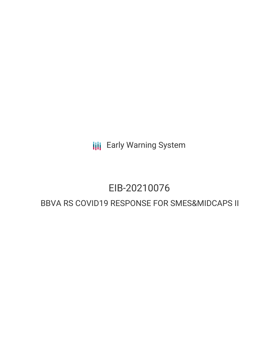**III** Early Warning System

# EIB-20210076

# BBVA RS COVID19 RESPONSE FOR SMES&MIDCAPS II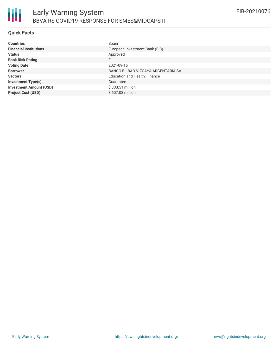

# **Quick Facts**

| <b>Countries</b>               | Spain                              |
|--------------------------------|------------------------------------|
| <b>Financial Institutions</b>  | European Investment Bank (EIB)     |
| <b>Status</b>                  | Approved                           |
| <b>Bank Risk Rating</b>        | FI                                 |
| <b>Voting Date</b>             | 2021-09-15                         |
| <b>Borrower</b>                | BANCO BILBAO VIZCAYA ARGENTARIA SA |
| <b>Sectors</b>                 | Education and Health, Finance      |
| <b>Investment Type(s)</b>      | Guarantee                          |
| <b>Investment Amount (USD)</b> | $$303.51$ million                  |
| <b>Project Cost (USD)</b>      | \$607.03 million                   |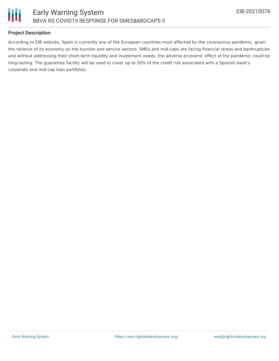

# **Project Description**

According to EIB website, Spain is currently one of the European countries most affected by the coronavirus pandemic, given the reliance of its economy on the tourism and service sectors. SMEs and mid-caps are facing financial stress and bankruptcies and without addressing their short-term liquidity and investment needs, the adverse economic effect of the pandemic could be long-lasting. The guarantee facility will be used to cover up to 50% of the credit risk associated with a Spanish bank's corporate and mid-cap loan portfolios.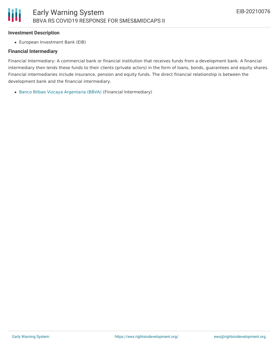#### **Investment Description**

Ш

European Investment Bank (EIB)

#### **Financial Intermediary**

Financial Intermediary: A commercial bank or financial institution that receives funds from a development bank. A financial intermediary then lends these funds to their clients (private actors) in the form of loans, bonds, guarantees and equity shares. Financial intermediaries include insurance, pension and equity funds. The direct financial relationship is between the development bank and the financial intermediary.

Banco Bilbao Vizcaya [Argentaria](file:///actor/3969/) (BBVA) (Financial Intermediary)